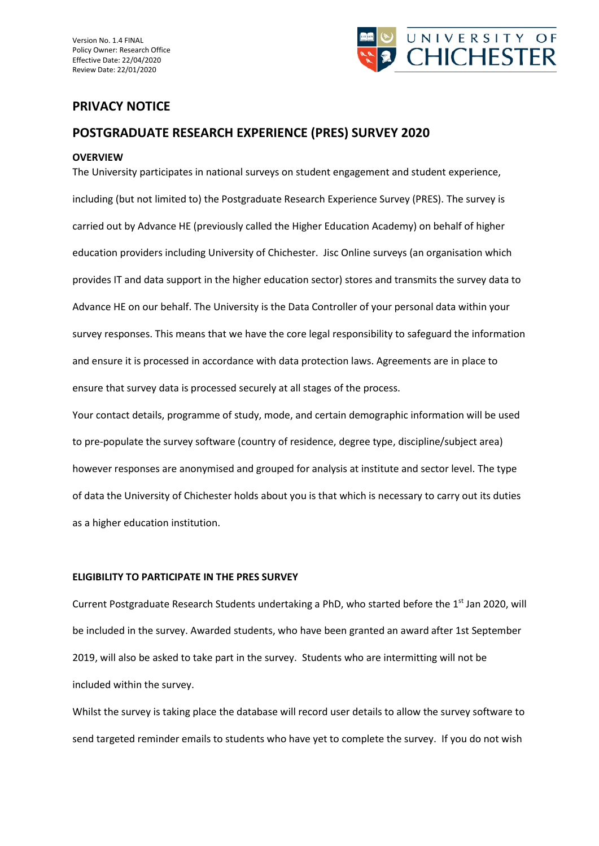Version No. 1.4 FINAL Policy Owner: Research Office Effective Date: 22/04/2020 Review Date: 22/01/2020



# **PRIVACY NOTICE**

# **POSTGRADUATE RESEARCH EXPERIENCE (PRES) SURVEY 2020**

### **OVERVIEW**

The University participates in national surveys on student engagement and student experience, including (but not limited to) the Postgraduate Research Experience Survey (PRES). The survey is carried out by Advance HE (previously called the Higher Education Academy) on behalf of higher education providers including University of Chichester. Jisc Online surveys (an organisation which provides IT and data support in the higher education sector) stores and transmits the survey data to Advance HE on our behalf. The University is the Data Controller of your personal data within your survey responses. This means that we have the core legal responsibility to safeguard the information and ensure it is processed in accordance with data protection laws. Agreements are in place to ensure that survey data is processed securely at all stages of the process.

Your contact details, programme of study, mode, and certain demographic information will be used to pre-populate the survey software (country of residence, degree type, discipline/subject area) however responses are anonymised and grouped for analysis at institute and sector level. The type of data the University of Chichester holds about you is that which is necessary to carry out its duties as a higher education institution.

## **ELIGIBILITY TO PARTICIPATE IN THE PRES SURVEY**

Current Postgraduate Research Students undertaking a PhD, who started before the 1<sup>st</sup> Jan 2020, will be included in the survey. Awarded students, who have been granted an award after 1st September 2019, will also be asked to take part in the survey. Students who are intermitting will not be included within the survey.

Whilst the survey is taking place the database will record user details to allow the survey software to send targeted reminder emails to students who have yet to complete the survey. If you do not wish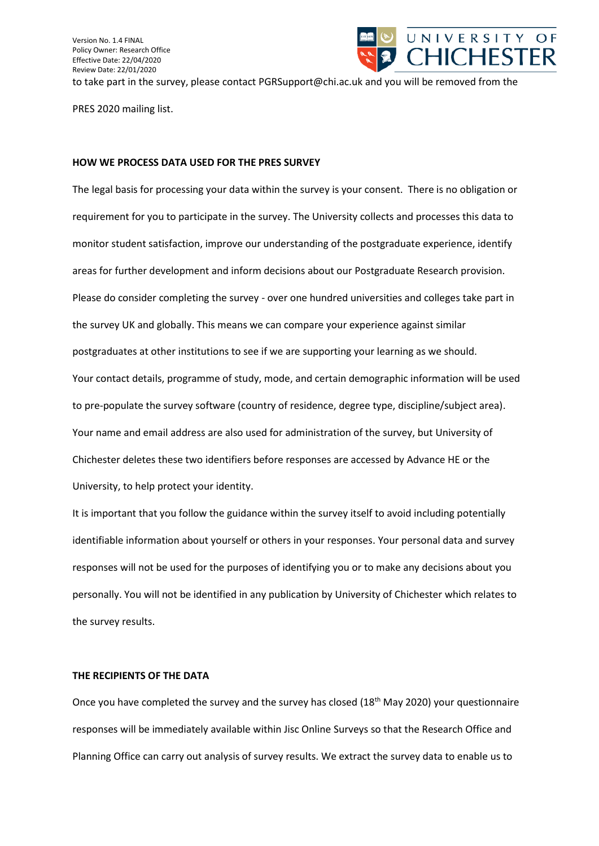

PRES 2020 mailing list.

#### **HOW WE PROCESS DATA USED FOR THE PRES SURVEY**

The legal basis for processing your data within the survey is your consent. There is no obligation or requirement for you to participate in the survey. The University collects and processes this data to monitor student satisfaction, improve our understanding of the postgraduate experience, identify areas for further development and inform decisions about our Postgraduate Research provision. Please do consider completing the survey - over one hundred universities and colleges take part in the survey UK and globally. This means we can compare your experience against similar postgraduates at other institutions to see if we are supporting your learning as we should. Your contact details, programme of study, mode, and certain demographic information will be used to pre-populate the survey software (country of residence, degree type, discipline/subject area). Your name and email address are also used for administration of the survey, but University of Chichester deletes these two identifiers before responses are accessed by Advance HE or the University, to help protect your identity.

It is important that you follow the guidance within the survey itself to avoid including potentially identifiable information about yourself or others in your responses. Your personal data and survey responses will not be used for the purposes of identifying you or to make any decisions about you personally. You will not be identified in any publication by University of Chichester which relates to the survey results.

### **THE RECIPIENTS OF THE DATA**

Once you have completed the survey and the survey has closed (18<sup>th</sup> May 2020) your questionnaire responses will be immediately available within Jisc Online Surveys so that the Research Office and Planning Office can carry out analysis of survey results. We extract the survey data to enable us to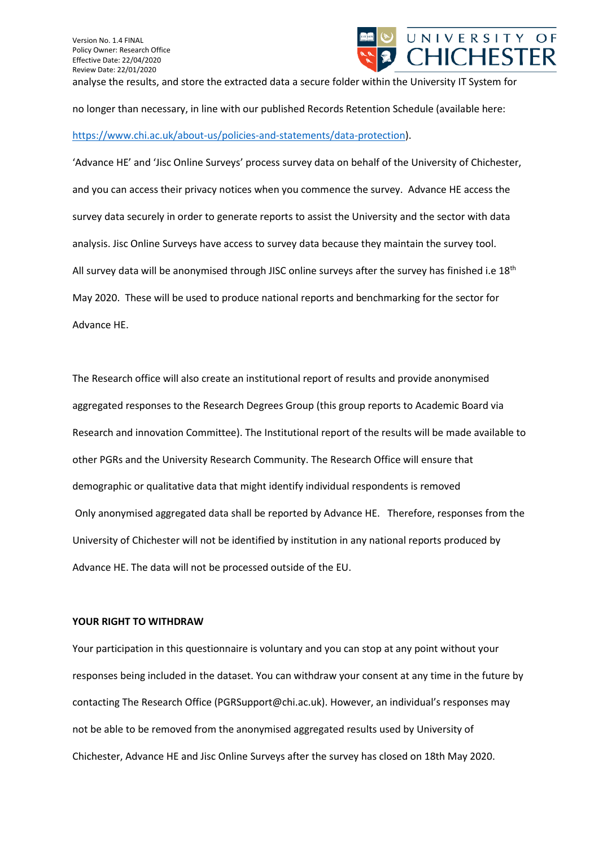

no longer than necessary, in line with our published Records Retention Schedule (available here: [https://www.chi.ac.uk/about-us/policies-and-statements/data-protection\)](https://www.chi.ac.uk/about-us/policies-and-statements/data-protection).

'Advance HE' and 'Jisc Online Surveys' process survey data on behalf of the University of Chichester, and you can access their privacy notices when you commence the survey. Advance HE access the survey data securely in order to generate reports to assist the University and the sector with data analysis. Jisc Online Surveys have access to survey data because they maintain the survey tool. All survey data will be anonymised through JISC online surveys after the survey has finished i.e  $18<sup>th</sup>$ May 2020. These will be used to produce national reports and benchmarking for the sector for Advance HE.

The Research office will also create an institutional report of results and provide anonymised aggregated responses to the Research Degrees Group (this group reports to Academic Board via Research and innovation Committee). The Institutional report of the results will be made available to other PGRs and the University Research Community. The Research Office will ensure that demographic or qualitative data that might identify individual respondents is removed Only anonymised aggregated data shall be reported by Advance HE. Therefore, responses from the University of Chichester will not be identified by institution in any national reports produced by Advance HE. The data will not be processed outside of the EU.

## **YOUR RIGHT TO WITHDRAW**

Your participation in this questionnaire is voluntary and you can stop at any point without your responses being included in the dataset. You can withdraw your consent at any time in the future by contacting The Research Office (PGRSupport@chi.ac.uk). However, an individual's responses may not be able to be removed from the anonymised aggregated results used by University of Chichester, Advance HE and Jisc Online Surveys after the survey has closed on 18th May 2020.